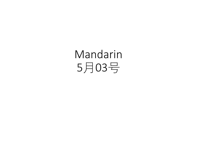Mandarin 5月03号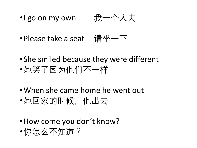- •I go on my own 我一个人去
- •Please take a seat 请坐一下
- •She smiled because they were different •她笑了因为他们不一样
- •When she came home he went out
- •她回家的时候, 他出去
- •How come you don't know?
- •你怎么不知道?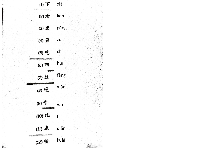| $(1)$ $\top$<br>W. Forest Complete Price                       | xià                          |      |  |
|----------------------------------------------------------------|------------------------------|------|--|
|                                                                | (2) $\frac{2}{\sqrt{3}}$ kàn |      |  |
|                                                                | (3) 更 gèng                   |      |  |
| (4) 最                                                          | zuì                          |      |  |
| (5)吃<br>AND THE RESIDENCE OF THE RESIDENCE OF THE RESIDENCE OF | chī                          |      |  |
| (6) 回                                                          | huí                          |      |  |
| (7)放                                                           |                              | fàng |  |
| (8) 晚                                                          |                              | wǎn  |  |
| (9)午                                                           | wǔ                           |      |  |
| $(10)$ <sub>K</sub>                                            | bĭ                           |      |  |
| (11)点<br>OF HEART STRINGER AND ON                              |                              | diǎn |  |
| (12)快                                                          | · kuài                       |      |  |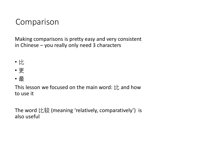## Comparison

Making comparisons is pretty easy and very consistent in Chinese – you really only need 3 characters

- 比
- 更
- 最

This lesson we focused on the main word:  $\forall$  and how to use it

The word 比较 (meaning 'relatively, comparatively') is also useful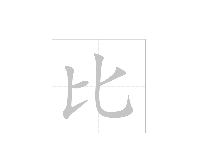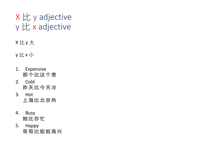## X 比 y adjective y 比 x adjective

X 比 y 大

y 比 x 小

- 1. Expensive 那 个 比 这 个 贵
- 2. Cold 昨 天 比 今 天 冷
- 3. Hot 上 海 比 北 京 热
- 4. Busy 她 比 你 忙
- 5. Happy 哥哥比姐姐高兴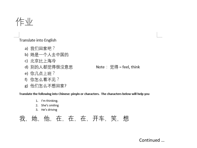作业

Translate into English

- a) 我们回家吧?
- b) 她是一个人去中国的
- c) 北京比上海冷
- d) 别的人都觉得很没意思
- e) 你几点上班?
- f) 你怎么看不见?
- g) 他们怎么不想回家?

Translate the following into Chinese: pinyin or characters. The characters below will help you

- 1. I'm thinking.
- She's smiling 2.
- He's driving 3.

我,她,他,在,在,在,开车,笑,想

Continued ...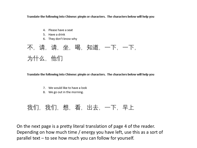Translate the following into Chinese: pinyin or characters. The characters below will help you

- 4. Please have a seat
- 5. Have a drink
- 6. They don't know why

不,请,请,坐,喝,知道,一下,一下, 为什么,他们

Translate the following into Chinese: pinyin or characters. The characters below will help you

- 7. We would like to have a look
- 8. We go out in the morning.

## 我们,我们,想,看,出去,一下,早上

On the next page is a pretty literal translation of page 4 of the reader. Depending on how much time / energy you have left, use this as a sort of parallel text – to see how much you can follow for yourself.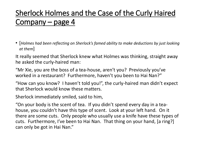## Sherlock Holmes and the Case of the Curly Haired Company – page 4

• [*Holmes had been reflecting on Sherlock's famed ability to make deductions by just looking at them*]

It really seemed that Sherlock knew what Holmes was thinking, straight away he asked the curly-haired man:

"Mr Xie, you are the boss of a tea-house, aren't you? Previously you've worked in a restaurant? Furthermore, haven't you been to Hai Nan?"

"How can you know? I haven't told you!", the curly-haired man didn't expect that Sherlock would know these matters.

Sherlock immediately smiled, said to him,

"On your body is the scent of tea. If you didn't spend every day in a teahouse, you couldn't have this type of scent. Look at your left hand. On it there are some cuts. Only people who usually use a knife have these types of cuts. Furthermore, I've been to Hai Nan. That thing on your hand, [a ring?] can only be got in Hai Nan."